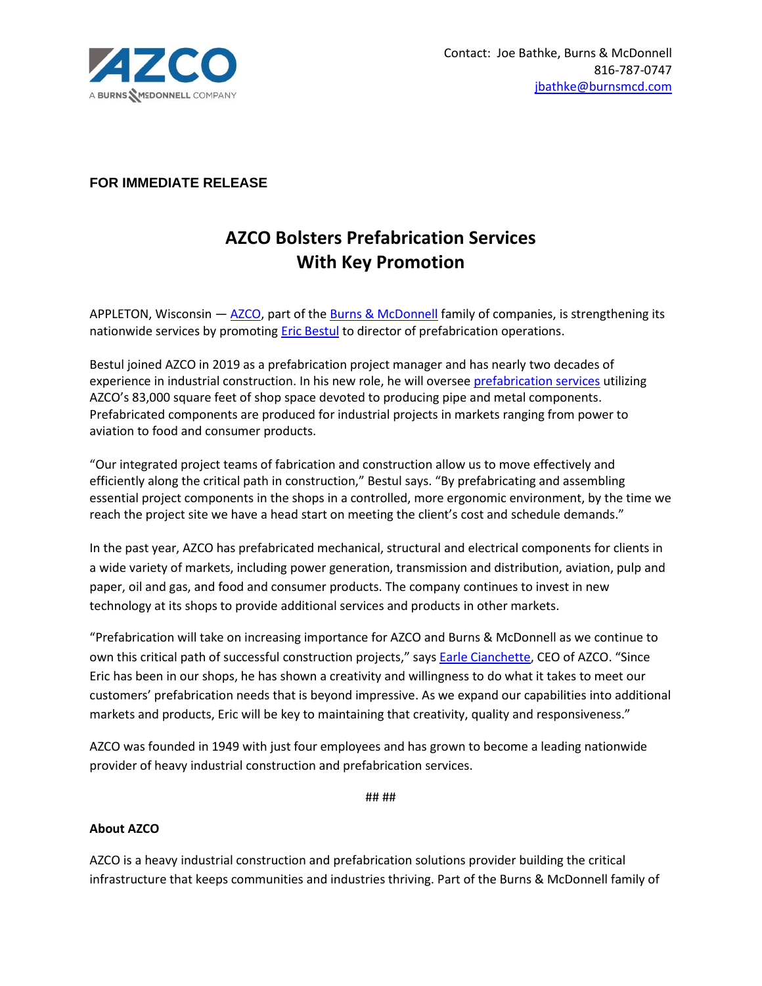

## **FOR IMMEDIATE RELEASE**

## **AZCO Bolsters Prefabrication Services With Key Promotion**

APPLETON, Wisconsin — [AZCO,](https://hubs.li/Q013b2N40) part of the [Burns & McDonnell](https://hubs.li/Q013b2Wg0) family of companies, is strengthening its nationwide services by promoting **Eric Bestul to director of prefabrication operations.** 

Bestul joined AZCO in 2019 as a prefabrication project manager and has nearly two decades of experience in industrial construction. In his new role, he will oversee [prefabrication services](https://hubs.li/Q013b3l00) utilizing AZCO's 83,000 square feet of shop space devoted to producing pipe and metal components. Prefabricated components are produced for industrial projects in markets ranging from power to aviation to food and consumer products.

"Our integrated project teams of fabrication and construction allow us to move effectively and efficiently along the critical path in construction," Bestul says. "By prefabricating and assembling essential project components in the shops in a controlled, more ergonomic environment, by the time we reach the project site we have a head start on meeting the client's cost and schedule demands."

In the past year, AZCO has prefabricated mechanical, structural and electrical components for clients in a wide variety of markets, including power generation, transmission and distribution, aviation, pulp and paper, oil and gas, and food and consumer products. The company continues to invest in new technology at its shops to provide additional services and products in other markets.

"Prefabrication will take on increasing importance for AZCO and Burns & McDonnell as we continue to own this critical path of successful construction projects," says **Earle Cianchette**, CEO of AZCO. "Since Eric has been in our shops, he has shown a creativity and willingness to do what it takes to meet our customers' prefabrication needs that is beyond impressive. As we expand our capabilities into additional markets and products, Eric will be key to maintaining that creativity, quality and responsiveness."

AZCO was founded in 1949 with just four employees and has grown to become a leading nationwide provider of heavy industrial construction and prefabrication services.

## ##

## **About AZCO**

AZCO is a heavy industrial construction and prefabrication solutions provider building the critical infrastructure that keeps communities and industries thriving. Part of the Burns & McDonnell family of